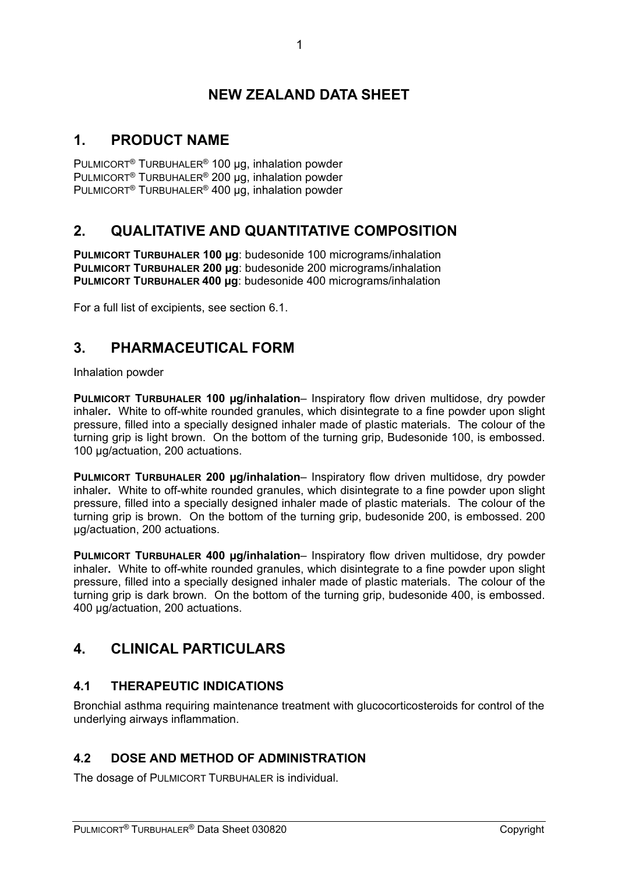# **NEW ZEALAND DATA SHEET**

# **1. PRODUCT NAME**

PULMICORT® TURBUHALER® 100 µg, inhalation powder PULMICORT<sup>®</sup> TURBUHALER<sup>®</sup> 200 ug, inhalation powder PULMICORT® TURBUHALER® 400 µg, inhalation powder

# **2. QUALITATIVE AND QUANTITATIVE COMPOSITION**

**PULMICORT TURBUHALER 100 µg**: budesonide 100 micrograms/inhalation **PULMICORT TURBUHALER 200 µg**: budesonide 200 micrograms/inhalation **PULMICORT TURBUHALER 400 µg**: budesonide 400 micrograms/inhalation

For a full list of excipients, see section 6.1.

# **3. PHARMACEUTICAL FORM**

Inhalation powder

**PULMICORT TURBUHALER 100 µg/inhalation**– Inspiratory flow driven multidose, dry powder inhaler**.** White to off-white rounded granules, which disintegrate to a fine powder upon slight pressure, filled into a specially designed inhaler made of plastic materials. The colour of the turning grip is light brown. On the bottom of the turning grip, Budesonide 100, is embossed. 100 ug/actuation, 200 actuations.

**PULMICORT TURBUHALER 200 µg/inhalation**– Inspiratory flow driven multidose, dry powder inhaler**.** White to off-white rounded granules, which disintegrate to a fine powder upon slight pressure, filled into a specially designed inhaler made of plastic materials. The colour of the turning grip is brown. On the bottom of the turning grip, budesonide 200, is embossed. 200 µg/actuation, 200 actuations.

**PULMICORT TURBUHALER 400 µg/inhalation**– Inspiratory flow driven multidose, dry powder inhaler**.** White to off-white rounded granules, which disintegrate to a fine powder upon slight pressure, filled into a specially designed inhaler made of plastic materials. The colour of the turning grip is dark brown. On the bottom of the turning grip, budesonide 400, is embossed. 400 µg/actuation, 200 actuations.

# **4. CLINICAL PARTICULARS**

# **4.1 THERAPEUTIC INDICATIONS**

Bronchial asthma requiring maintenance treatment with glucocorticosteroids for control of the underlying airways inflammation.

# **4.2 DOSE AND METHOD OF ADMINISTRATION**

The dosage of PULMICORT TURBUHALER is individual.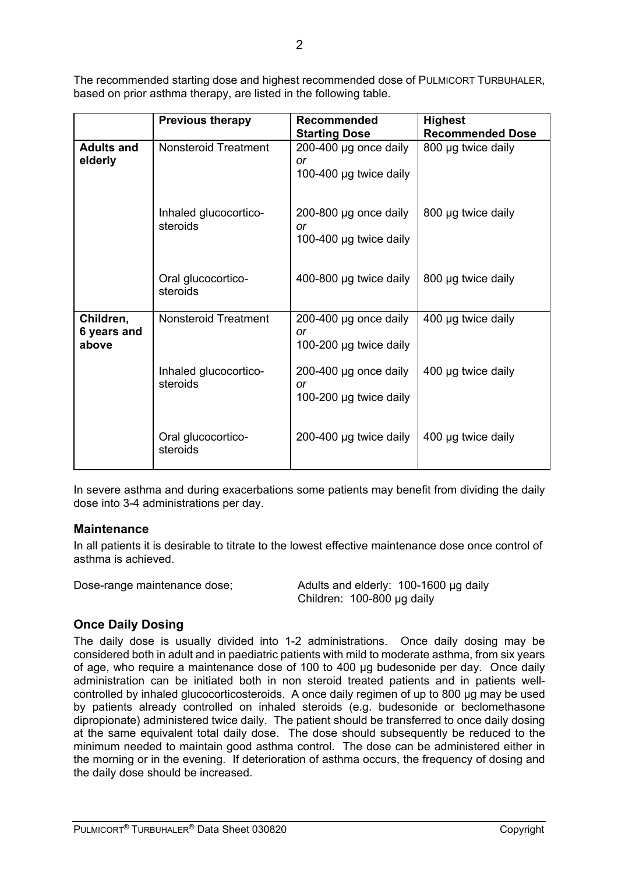The recommended starting dose and highest recommended dose of PULMICORT TURBUHALER, based on prior asthma therapy, are listed in the following table.

|                                   | <b>Previous therapy</b>           | <b>Recommended</b><br><b>Starting Dose</b>                   | <b>Highest</b><br><b>Recommended Dose</b> |
|-----------------------------------|-----------------------------------|--------------------------------------------------------------|-------------------------------------------|
| <b>Adults and</b><br>elderly      | <b>Nonsteroid Treatment</b>       | 200-400 µg once daily<br>or<br>100-400 µg twice daily        | 800 µg twice daily                        |
|                                   | Inhaled glucocortico-<br>steroids | 200-800 µg once daily<br>or<br>100-400 µg twice daily        | 800 µg twice daily                        |
|                                   | Oral glucocortico-<br>steroids    | 400-800 µg twice daily                                       | 800 µg twice daily                        |
| Children,<br>6 years and<br>above | <b>Nonsteroid Treatment</b>       | 200-400 µg once daily<br><b>or</b><br>100-200 µg twice daily | 400 µg twice daily                        |
|                                   | Inhaled glucocortico-<br>steroids | 200-400 µg once daily<br><b>or</b><br>100-200 µg twice daily | 400 µg twice daily                        |
|                                   | Oral glucocortico-<br>steroids    | 200-400 µg twice daily                                       | 400 µg twice daily                        |

In severe asthma and during exacerbations some patients may benefit from dividing the daily dose into 3-4 administrations per day.

#### **Maintenance**

In all patients it is desirable to titrate to the lowest effective maintenance dose once control of asthma is achieved.

Dose-range maintenance dose; Adults and elderly: 100-1600 µg daily Children: 100-800 µg daily

# **Once Daily Dosing**

The daily dose is usually divided into 1-2 administrations. Once daily dosing may be considered both in adult and in paediatric patients with mild to moderate asthma, from six years of age, who require a maintenance dose of 100 to 400 µg budesonide per day. Once daily administration can be initiated both in non steroid treated patients and in patients wellcontrolled by inhaled glucocorticosteroids. A once daily regimen of up to 800 µg may be used by patients already controlled on inhaled steroids (e.g. budesonide or beclomethasone dipropionate) administered twice daily. The patient should be transferred to once daily dosing at the same equivalent total daily dose. The dose should subsequently be reduced to the minimum needed to maintain good asthma control. The dose can be administered either in the morning or in the evening. If deterioration of asthma occurs, the frequency of dosing and the daily dose should be increased.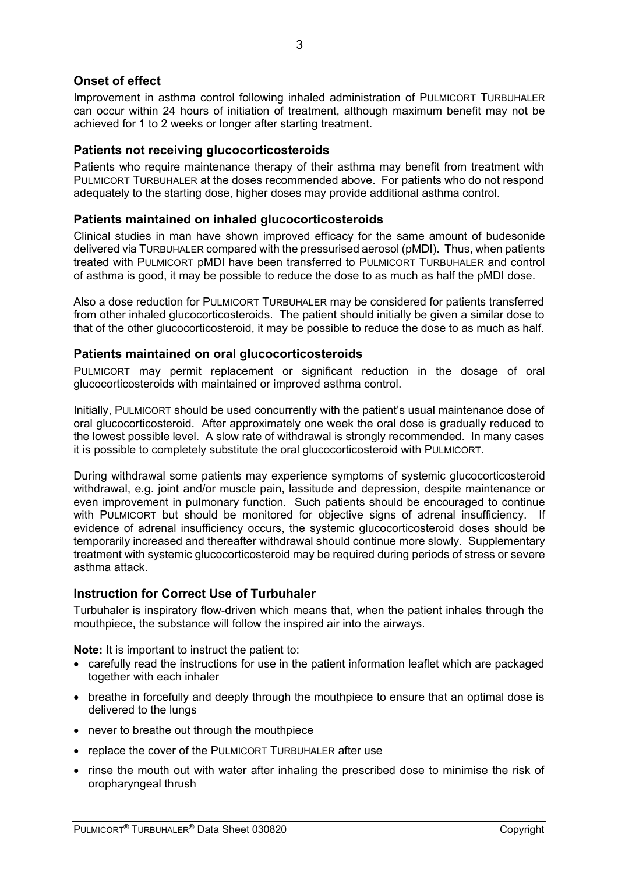## **Onset of effect**

Improvement in asthma control following inhaled administration of PULMICORT TURBUHALER can occur within 24 hours of initiation of treatment, although maximum benefit may not be achieved for 1 to 2 weeks or longer after starting treatment.

### **Patients not receiving glucocorticosteroids**

Patients who require maintenance therapy of their asthma may benefit from treatment with PULMICORT TURBUHALER at the doses recommended above. For patients who do not respond adequately to the starting dose, higher doses may provide additional asthma control.

#### **Patients maintained on inhaled glucocorticosteroids**

Clinical studies in man have shown improved efficacy for the same amount of budesonide delivered via TURBUHALER compared with the pressurised aerosol (pMDI). Thus, when patients treated with PULMICORT pMDI have been transferred to PULMICORT TURBUHALER and control of asthma is good, it may be possible to reduce the dose to as much as half the pMDI dose.

Also a dose reduction for PULMICORT TURBUHALER may be considered for patients transferred from other inhaled glucocorticosteroids. The patient should initially be given a similar dose to that of the other glucocorticosteroid, it may be possible to reduce the dose to as much as half.

#### **Patients maintained on oral glucocorticosteroids**

PULMICORT may permit replacement or significant reduction in the dosage of oral glucocorticosteroids with maintained or improved asthma control.

Initially, PULMICORT should be used concurrently with the patient's usual maintenance dose of oral glucocorticosteroid. After approximately one week the oral dose is gradually reduced to the lowest possible level. A slow rate of withdrawal is strongly recommended. In many cases it is possible to completely substitute the oral glucocorticosteroid with PULMICORT.

During withdrawal some patients may experience symptoms of systemic glucocorticosteroid withdrawal, e.g. joint and/or muscle pain, lassitude and depression, despite maintenance or even improvement in pulmonary function. Such patients should be encouraged to continue with PULMICORT but should be monitored for objective signs of adrenal insufficiency. If evidence of adrenal insufficiency occurs, the systemic glucocorticosteroid doses should be temporarily increased and thereafter withdrawal should continue more slowly. Supplementary treatment with systemic glucocorticosteroid may be required during periods of stress or severe asthma attack.

#### **Instruction for Correct Use of Turbuhaler**

Turbuhaler is inspiratory flow-driven which means that, when the patient inhales through the mouthpiece, the substance will follow the inspired air into the airways.

**Note:** It is important to instruct the patient to:

- carefully read the instructions for use in the patient information leaflet which are packaged together with each inhaler
- breathe in forcefully and deeply through the mouthpiece to ensure that an optimal dose is delivered to the lungs
- never to breathe out through the mouthpiece
- replace the cover of the PULMICORT TURBUHALER after use
- rinse the mouth out with water after inhaling the prescribed dose to minimise the risk of oropharyngeal thrush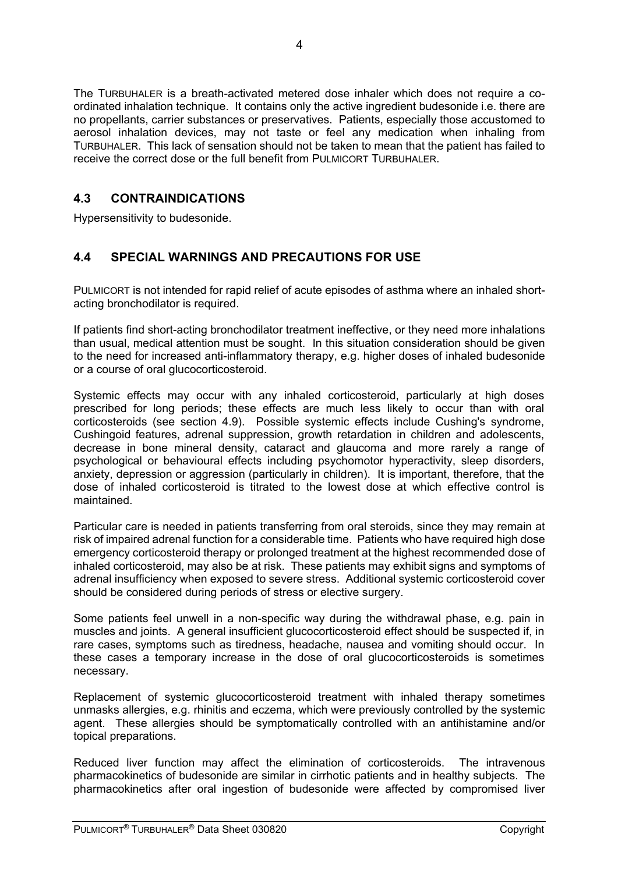The TURBUHALER is a breath-activated metered dose inhaler which does not require a coordinated inhalation technique. It contains only the active ingredient budesonide i.e. there are no propellants, carrier substances or preservatives. Patients, especially those accustomed to aerosol inhalation devices, may not taste or feel any medication when inhaling from TURBUHALER. This lack of sensation should not be taken to mean that the patient has failed to receive the correct dose or the full benefit from PULMICORT TURBUHALER.

# **4.3 CONTRAINDICATIONS**

Hypersensitivity to budesonide.

# **4.4 SPECIAL WARNINGS AND PRECAUTIONS FOR USE**

PULMICORT is not intended for rapid relief of acute episodes of asthma where an inhaled shortacting bronchodilator is required.

If patients find short-acting bronchodilator treatment ineffective, or they need more inhalations than usual, medical attention must be sought. In this situation consideration should be given to the need for increased anti-inflammatory therapy, e.g. higher doses of inhaled budesonide or a course of oral glucocorticosteroid.

Systemic effects may occur with any inhaled corticosteroid, particularly at high doses prescribed for long periods; these effects are much less likely to occur than with oral corticosteroids (see section 4.9). Possible systemic effects include Cushing's syndrome, Cushingoid features, adrenal suppression, growth retardation in children and adolescents, decrease in bone mineral density, cataract and glaucoma and more rarely a range of psychological or behavioural effects including psychomotor hyperactivity, sleep disorders, anxiety, depression or aggression (particularly in children). It is important, therefore, that the dose of inhaled corticosteroid is titrated to the lowest dose at which effective control is maintained.

Particular care is needed in patients transferring from oral steroids, since they may remain at risk of impaired adrenal function for a considerable time. Patients who have required high dose emergency corticosteroid therapy or prolonged treatment at the highest recommended dose of inhaled corticosteroid, may also be at risk. These patients may exhibit signs and symptoms of adrenal insufficiency when exposed to severe stress. Additional systemic corticosteroid cover should be considered during periods of stress or elective surgery.

Some patients feel unwell in a non-specific way during the withdrawal phase, e.g. pain in muscles and joints. A general insufficient glucocorticosteroid effect should be suspected if, in rare cases, symptoms such as tiredness, headache, nausea and vomiting should occur. In these cases a temporary increase in the dose of oral glucocorticosteroids is sometimes necessary.

Replacement of systemic glucocorticosteroid treatment with inhaled therapy sometimes unmasks allergies, e.g. rhinitis and eczema, which were previously controlled by the systemic agent. These allergies should be symptomatically controlled with an antihistamine and/or topical preparations.

Reduced liver function may affect the elimination of corticosteroids. The intravenous pharmacokinetics of budesonide are similar in cirrhotic patients and in healthy subjects. The pharmacokinetics after oral ingestion of budesonide were affected by compromised liver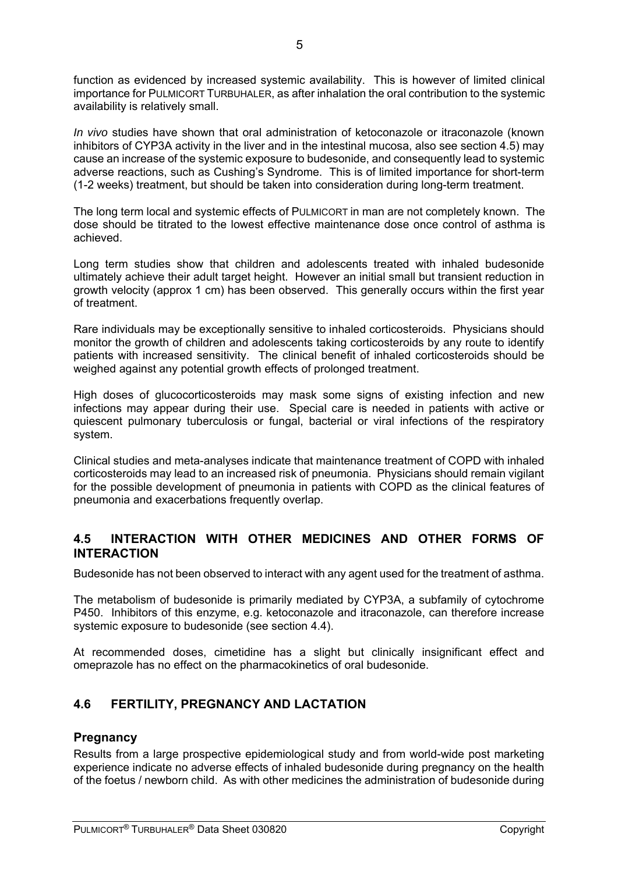function as evidenced by increased systemic availability. This is however of limited clinical importance for PULMICORT TURBUHALER, as after inhalation the oral contribution to the systemic availability is relatively small.

*In vivo* studies have shown that oral administration of ketoconazole or itraconazole (known inhibitors of CYP3A activity in the liver and in the intestinal mucosa, also see section 4.5) may cause an increase of the systemic exposure to budesonide, and consequently lead to systemic adverse reactions, such as Cushing's Syndrome. This is of limited importance for short-term (1-2 weeks) treatment, but should be taken into consideration during long-term treatment.

The long term local and systemic effects of PULMICORT in man are not completely known. The dose should be titrated to the lowest effective maintenance dose once control of asthma is achieved.

Long term studies show that children and adolescents treated with inhaled budesonide ultimately achieve their adult target height. However an initial small but transient reduction in growth velocity (approx 1 cm) has been observed. This generally occurs within the first year of treatment.

Rare individuals may be exceptionally sensitive to inhaled corticosteroids. Physicians should monitor the growth of children and adolescents taking corticosteroids by any route to identify patients with increased sensitivity. The clinical benefit of inhaled corticosteroids should be weighed against any potential growth effects of prolonged treatment.

High doses of glucocorticosteroids may mask some signs of existing infection and new infections may appear during their use. Special care is needed in patients with active or quiescent pulmonary tuberculosis or fungal, bacterial or viral infections of the respiratory system.

Clinical studies and meta-analyses indicate that maintenance treatment of COPD with inhaled corticosteroids may lead to an increased risk of pneumonia. Physicians should remain vigilant for the possible development of pneumonia in patients with COPD as the clinical features of pneumonia and exacerbations frequently overlap.

# **4.5 INTERACTION WITH OTHER MEDICINES AND OTHER FORMS OF INTERACTION**

Budesonide has not been observed to interact with any agent used for the treatment of asthma.

The metabolism of budesonide is primarily mediated by CYP3A, a subfamily of cytochrome P450. Inhibitors of this enzyme, e.g. ketoconazole and itraconazole, can therefore increase systemic exposure to budesonide (see section 4.4).

At recommended doses, cimetidine has a slight but clinically insignificant effect and omeprazole has no effect on the pharmacokinetics of oral budesonide.

# **4.6 FERTILITY, PREGNANCY AND LACTATION**

## **Pregnancy**

Results from a large prospective epidemiological study and from world-wide post marketing experience indicate no adverse effects of inhaled budesonide during pregnancy on the health of the foetus / newborn child. As with other medicines the administration of budesonide during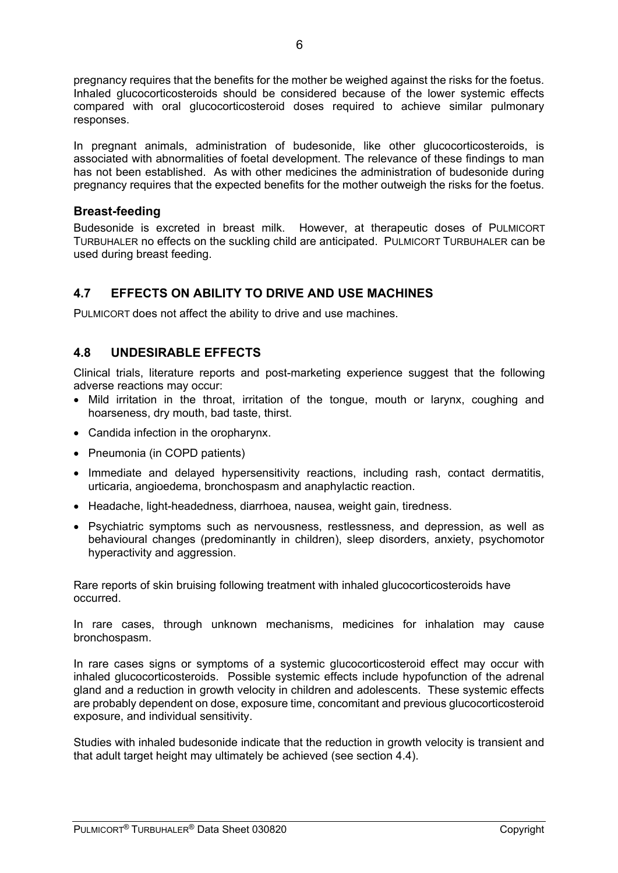pregnancy requires that the benefits for the mother be weighed against the risks for the foetus. Inhaled glucocorticosteroids should be considered because of the lower systemic effects compared with oral glucocorticosteroid doses required to achieve similar pulmonary responses.

In pregnant animals, administration of budesonide, like other glucocorticosteroids, is associated with abnormalities of foetal development. The relevance of these findings to man has not been established. As with other medicines the administration of budesonide during pregnancy requires that the expected benefits for the mother outweigh the risks for the foetus.

## **Breast-feeding**

Budesonide is excreted in breast milk. However, at therapeutic doses of PULMICORT TURBUHALER no effects on the suckling child are anticipated. PULMICORT TURBUHALER can be used during breast feeding.

# **4.7 EFFECTS ON ABILITY TO DRIVE AND USE MACHINES**

PULMICORT does not affect the ability to drive and use machines.

# **4.8 UNDESIRABLE EFFECTS**

Clinical trials, literature reports and post-marketing experience suggest that the following adverse reactions may occur:

- Mild irritation in the throat, irritation of the tongue, mouth or larynx, coughing and hoarseness, dry mouth, bad taste, thirst.
- Candida infection in the oropharynx.
- Pneumonia (in COPD patients)
- Immediate and delayed hypersensitivity reactions, including rash, contact dermatitis, urticaria, angioedema, bronchospasm and anaphylactic reaction.
- Headache, light-headedness, diarrhoea, nausea, weight gain, tiredness.
- Psychiatric symptoms such as nervousness, restlessness, and depression, as well as behavioural changes (predominantly in children), sleep disorders, anxiety, psychomotor hyperactivity and aggression.

Rare reports of skin bruising following treatment with inhaled glucocorticosteroids have occurred.

In rare cases, through unknown mechanisms, medicines for inhalation may cause bronchospasm.

In rare cases signs or symptoms of a systemic glucocorticosteroid effect may occur with inhaled glucocorticosteroids. Possible systemic effects include hypofunction of the adrenal gland and a reduction in growth velocity in children and adolescents. These systemic effects are probably dependent on dose, exposure time, concomitant and previous glucocorticosteroid exposure, and individual sensitivity.

Studies with inhaled budesonide indicate that the reduction in growth velocity is transient and that adult target height may ultimately be achieved (see section 4.4).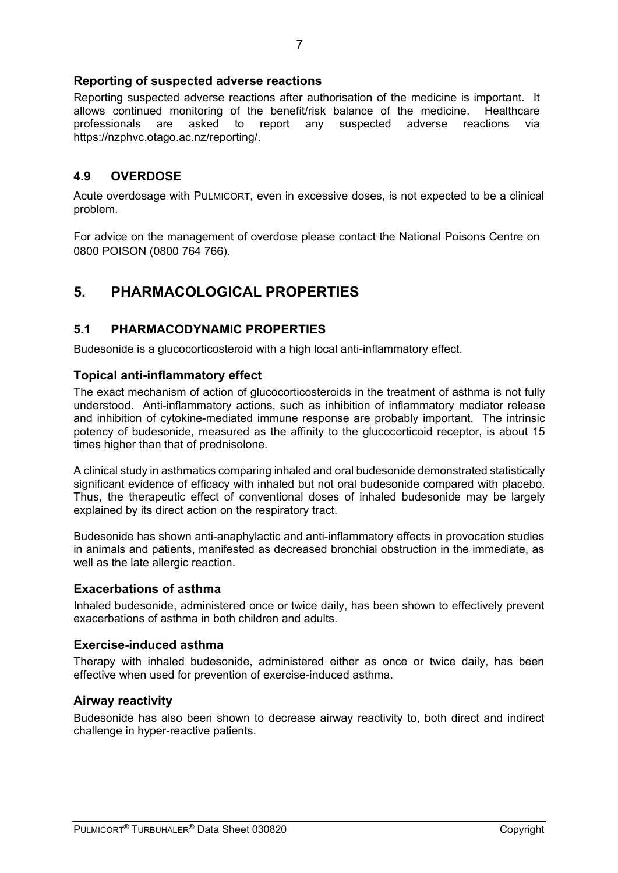## **Reporting of suspected adverse reactions**

Reporting suspected adverse reactions after authorisation of the medicine is important. It allows continued monitoring of the benefit/risk balance of the medicine. Healthcare professionals are asked to report any suspected adverse reactions via https://nzphvc.otago.ac.nz/reporting/.

# **4.9 OVERDOSE**

Acute overdosage with PULMICORT, even in excessive doses, is not expected to be a clinical problem.

For advice on the management of overdose please contact the National Poisons Centre on 0800 POISON (0800 764 766).

# **5. PHARMACOLOGICAL PROPERTIES**

## **5.1 PHARMACODYNAMIC PROPERTIES**

Budesonide is a glucocorticosteroid with a high local anti-inflammatory effect.

## **Topical anti-inflammatory effect**

The exact mechanism of action of glucocorticosteroids in the treatment of asthma is not fully understood. Anti-inflammatory actions, such as inhibition of inflammatory mediator release and inhibition of cytokine-mediated immune response are probably important. The intrinsic potency of budesonide, measured as the affinity to the glucocorticoid receptor, is about 15 times higher than that of prednisolone.

A clinical study in asthmatics comparing inhaled and oral budesonide demonstrated statistically significant evidence of efficacy with inhaled but not oral budesonide compared with placebo. Thus, the therapeutic effect of conventional doses of inhaled budesonide may be largely explained by its direct action on the respiratory tract.

Budesonide has shown anti-anaphylactic and anti-inflammatory effects in provocation studies in animals and patients, manifested as decreased bronchial obstruction in the immediate, as well as the late allergic reaction.

## **Exacerbations of asthma**

Inhaled budesonide, administered once or twice daily, has been shown to effectively prevent exacerbations of asthma in both children and adults.

## **Exercise-induced asthma**

Therapy with inhaled budesonide, administered either as once or twice daily, has been effective when used for prevention of exercise-induced asthma.

#### **Airway reactivity**

Budesonide has also been shown to decrease airway reactivity to, both direct and indirect challenge in hyper-reactive patients.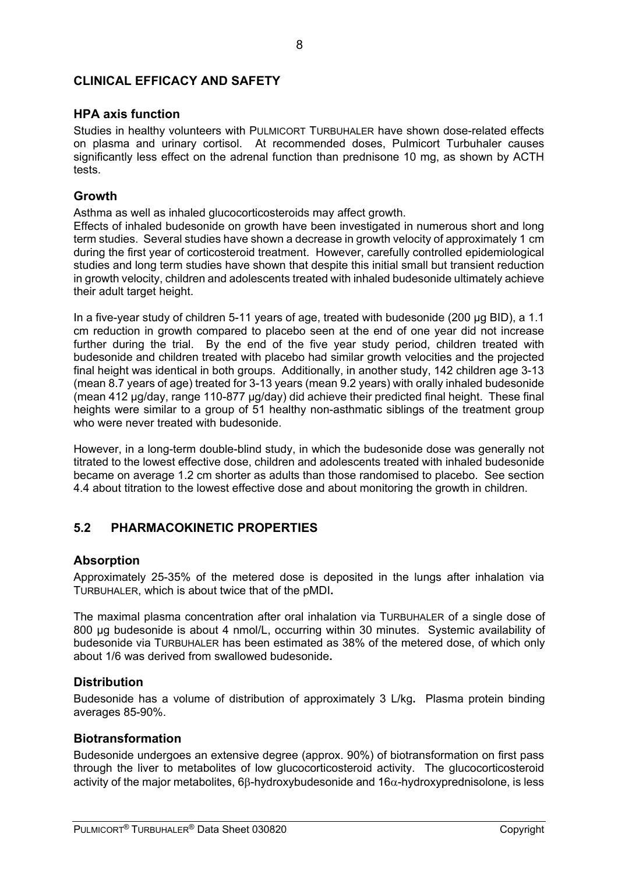## **CLINICAL EFFICACY AND SAFETY**

### **HPA axis function**

Studies in healthy volunteers with PULMICORT TURBUHALER have shown dose-related effects on plasma and urinary cortisol. At recommended doses, Pulmicort Turbuhaler causes significantly less effect on the adrenal function than prednisone 10 mg, as shown by ACTH tests.

#### **Growth**

Asthma as well as inhaled glucocorticosteroids may affect growth.

Effects of inhaled budesonide on growth have been investigated in numerous short and long term studies. Several studies have shown a decrease in growth velocity of approximately 1 cm during the first year of corticosteroid treatment. However, carefully controlled epidemiological studies and long term studies have shown that despite this initial small but transient reduction in growth velocity, children and adolescents treated with inhaled budesonide ultimately achieve their adult target height.

In a five-year study of children 5-11 years of age, treated with budesonide (200 µg BID), a 1.1 cm reduction in growth compared to placebo seen at the end of one year did not increase further during the trial. By the end of the five year study period, children treated with budesonide and children treated with placebo had similar growth velocities and the projected final height was identical in both groups. Additionally, in another study, 142 children age 3-13 (mean 8.7 years of age) treated for 3-13 years (mean 9.2 years) with orally inhaled budesonide (mean 412 µg/day, range 110-877 µg/day) did achieve their predicted final height. These final heights were similar to a group of 51 healthy non-asthmatic siblings of the treatment group who were never treated with budesonide

However, in a long-term double-blind study, in which the budesonide dose was generally not titrated to the lowest effective dose, children and adolescents treated with inhaled budesonide became on average 1.2 cm shorter as adults than those randomised to placebo. See section 4.4 about titration to the lowest effective dose and about monitoring the growth in children.

# **5.2 PHARMACOKINETIC PROPERTIES**

## **Absorption**

Approximately 25-35% of the metered dose is deposited in the lungs after inhalation via TURBUHALER, which is about twice that of the pMDI**.** 

The maximal plasma concentration after oral inhalation via TURBUHALER of a single dose of 800 ug budesonide is about 4 nmol/L, occurring within 30 minutes. Systemic availability of budesonide via TURBUHALER has been estimated as 38% of the metered dose, of which only about 1/6 was derived from swallowed budesonide**.** 

## **Distribution**

Budesonide has a volume of distribution of approximately 3 L/kg**.** Plasma protein binding averages 85-90%.

#### **Biotransformation**

Budesonide undergoes an extensive degree (approx. 90%) of biotransformation on first pass through the liver to metabolites of low glucocorticosteroid activity. The glucocorticosteroid activity of the major metabolites, 6 $\beta$ -hydroxybudesonide and 16 $\alpha$ -hydroxyprednisolone, is less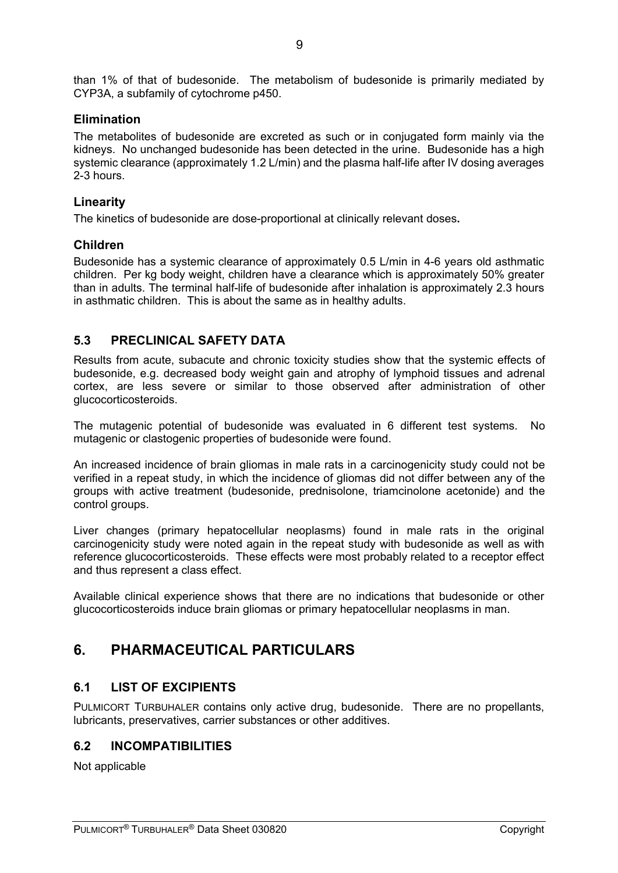than 1% of that of budesonide. The metabolism of budesonide is primarily mediated by CYP3A, a subfamily of cytochrome p450.

## **Elimination**

The metabolites of budesonide are excreted as such or in conjugated form mainly via the kidneys. No unchanged budesonide has been detected in the urine. Budesonide has a high systemic clearance (approximately 1.2 L/min) and the plasma half-life after IV dosing averages 2-3 hours.

## **Linearity**

The kinetics of budesonide are dose-proportional at clinically relevant doses**.**

## **Children**

Budesonide has a systemic clearance of approximately 0.5 L/min in 4-6 years old asthmatic children. Per kg body weight, children have a clearance which is approximately 50% greater than in adults. The terminal half-life of budesonide after inhalation is approximately 2.3 hours in asthmatic children. This is about the same as in healthy adults.

# **5.3 PRECLINICAL SAFETY DATA**

Results from acute, subacute and chronic toxicity studies show that the systemic effects of budesonide, e.g. decreased body weight gain and atrophy of lymphoid tissues and adrenal cortex, are less severe or similar to those observed after administration of other glucocorticosteroids.

The mutagenic potential of budesonide was evaluated in 6 different test systems. No mutagenic or clastogenic properties of budesonide were found.

An increased incidence of brain gliomas in male rats in a carcinogenicity study could not be verified in a repeat study, in which the incidence of gliomas did not differ between any of the groups with active treatment (budesonide, prednisolone, triamcinolone acetonide) and the control groups.

Liver changes (primary hepatocellular neoplasms) found in male rats in the original carcinogenicity study were noted again in the repeat study with budesonide as well as with reference glucocorticosteroids. These effects were most probably related to a receptor effect and thus represent a class effect.

Available clinical experience shows that there are no indications that budesonide or other glucocorticosteroids induce brain gliomas or primary hepatocellular neoplasms in man.

# **6. PHARMACEUTICAL PARTICULARS**

# **6.1 LIST OF EXCIPIENTS**

PULMICORT TURBUHALER contains only active drug, budesonide. There are no propellants, lubricants, preservatives, carrier substances or other additives.

## **6.2 INCOMPATIBILITIES**

Not applicable